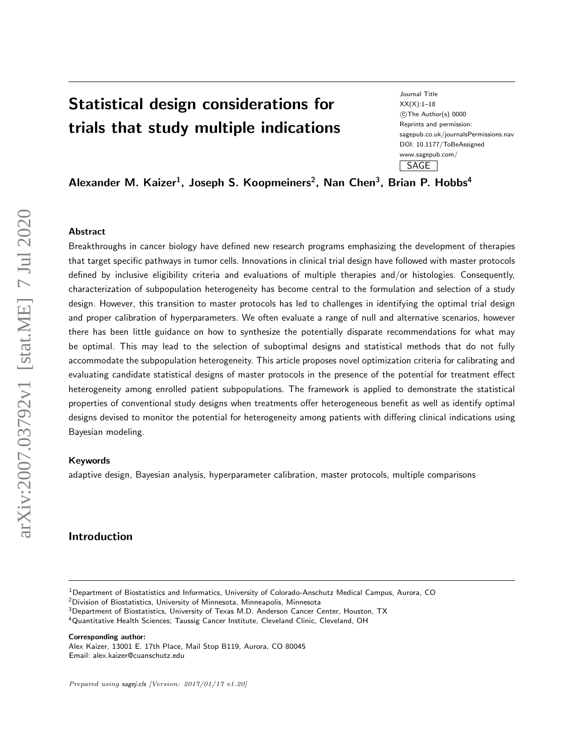## Statistical design considerations for trials that study multiple indications

Journal Title  $XX(X):1-18$  c The Author(s) 0000 Reprints and permission: sagepub.co.uk/journalsPermissions.nav DOI: 10.1177/ToBeAssigned www.sagepub.com/ SAGE

## Alexander M. Kaizer<sup>1</sup>, Joseph S. Koopmeiners<sup>2</sup>, Nan Chen<sup>3</sup>, Brian P. Hobbs<sup>4</sup>

#### Abstract

Breakthroughs in cancer biology have defined new research programs emphasizing the development of therapies that target specific pathways in tumor cells. Innovations in clinical trial design have followed with master protocols defined by inclusive eligibility criteria and evaluations of multiple therapies and/or histologies. Consequently, characterization of subpopulation heterogeneity has become central to the formulation and selection of a study design. However, this transition to master protocols has led to challenges in identifying the optimal trial design and proper calibration of hyperparameters. We often evaluate a range of null and alternative scenarios, however there has been little guidance on how to synthesize the potentially disparate recommendations for what may be optimal. This may lead to the selection of suboptimal designs and statistical methods that do not fully accommodate the subpopulation heterogeneity. This article proposes novel optimization criteria for calibrating and evaluating candidate statistical designs of master protocols in the presence of the potential for treatment effect heterogeneity among enrolled patient subpopulations. The framework is applied to demonstrate the statistical properties of conventional study designs when treatments offer heterogeneous benefit as well as identify optimal designs devised to monitor the potential for heterogeneity among patients with differing clinical indications using Bayesian modeling.

#### Keywords

adaptive design, Bayesian analysis, hyperparameter calibration, master protocols, multiple comparisons

#### Introduction

Corresponding author:

Alex Kaizer, 13001 E. 17th Place, Mail Stop B119, Aurora, CO 80045 Email: alex.kaizer@cuanschutz.edu

<sup>1</sup>Department of Biostatistics and Informatics, University of Colorado-Anschutz Medical Campus, Aurora, CO

<sup>2</sup>Division of Biostatistics, University of Minnesota, Minneapolis, Minnesota

<sup>3</sup>Department of Biostatistics, University of Texas M.D. Anderson Cancer Center, Houston, TX

<sup>4</sup>Quantitative Health Sciences; Taussig Cancer Institute, Cleveland Clinic, Cleveland, OH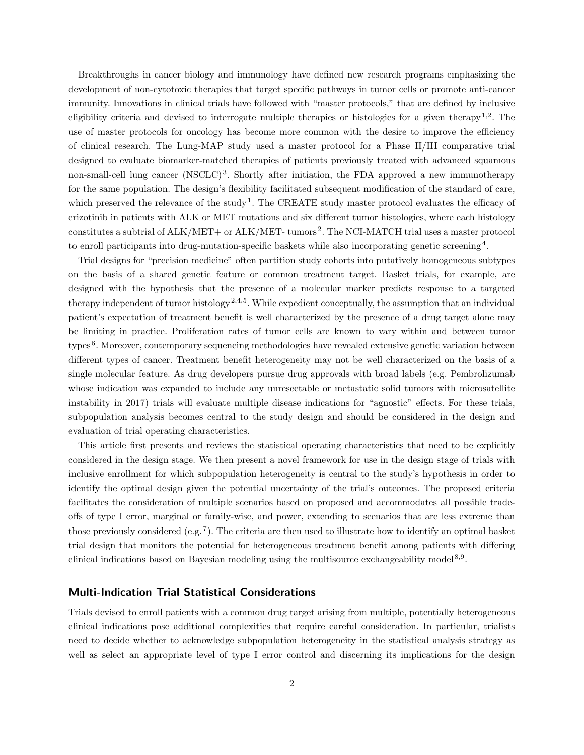Breakthroughs in cancer biology and immunology have defined new research programs emphasizing the development of non-cytotoxic therapies that target specific pathways in tumor cells or promote anti-cancer immunity. Innovations in clinical trials have followed with "master protocols," that are defined by inclusive eligibility criteria and devised to interrogate multiple therapies or histologies for a given therapy  $1,2$ . The use of master protocols for oncology has become more common with the desire to improve the efficiency of clinical research. The Lung-MAP study used a master protocol for a Phase II/III comparative trial designed to evaluate biomarker-matched therapies of patients previously treated with advanced squamous non-small-cell lung cancer (NSCLC)<sup>3</sup>. Shortly after initiation, the FDA approved a new immunotherapy for the same population. The design's flexibility facilitated subsequent modification of the standard of care, which preserved the relevance of the study<sup>1</sup>. The CREATE study master protocol evaluates the efficacy of crizotinib in patients with ALK or MET mutations and six different tumor histologies, where each histology constitutes a subtrial of ALK/MET+ or ALK/MET- tumors<sup>2</sup>. The NCI-MATCH trial uses a master protocol to enroll participants into drug-mutation-specific baskets while also incorporating genetic screening<sup>4</sup>.

Trial designs for "precision medicine" often partition study cohorts into putatively homogeneous subtypes on the basis of a shared genetic feature or common treatment target. Basket trials, for example, are designed with the hypothesis that the presence of a molecular marker predicts response to a targeted therapy independent of tumor histology  $^{2,4,5}$ . While expedient conceptually, the assumption that an individual patient's expectation of treatment benefit is well characterized by the presence of a drug target alone may be limiting in practice. Proliferation rates of tumor cells are known to vary within and between tumor types<sup>6</sup>. Moreover, contemporary sequencing methodologies have revealed extensive genetic variation between different types of cancer. Treatment benefit heterogeneity may not be well characterized on the basis of a single molecular feature. As drug developers pursue drug approvals with broad labels (e.g. Pembrolizumab whose indication was expanded to include any unresectable or metastatic solid tumors with microsatellite instability in 2017) trials will evaluate multiple disease indications for "agnostic" effects. For these trials, subpopulation analysis becomes central to the study design and should be considered in the design and evaluation of trial operating characteristics.

This article first presents and reviews the statistical operating characteristics that need to be explicitly considered in the design stage. We then present a novel framework for use in the design stage of trials with inclusive enrollment for which subpopulation heterogeneity is central to the study's hypothesis in order to identify the optimal design given the potential uncertainty of the trial's outcomes. The proposed criteria facilitates the consideration of multiple scenarios based on proposed and accommodates all possible tradeoffs of type I error, marginal or family-wise, and power, extending to scenarios that are less extreme than those previously considered  $(e.g. 7)$ . The criteria are then used to illustrate how to identify an optimal basket trial design that monitors the potential for heterogeneous treatment benefit among patients with differing clinical indications based on Bayesian modeling using the multisource exchangeability model<sup>8,9</sup>.

#### Multi-Indication Trial Statistical Considerations

Trials devised to enroll patients with a common drug target arising from multiple, potentially heterogeneous clinical indications pose additional complexities that require careful consideration. In particular, trialists need to decide whether to acknowledge subpopulation heterogeneity in the statistical analysis strategy as well as select an appropriate level of type I error control and discerning its implications for the design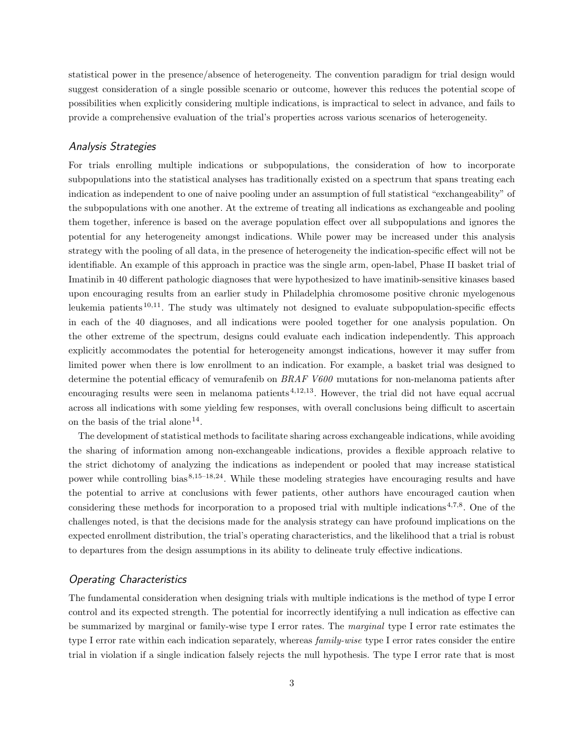statistical power in the presence/absence of heterogeneity. The convention paradigm for trial design would suggest consideration of a single possible scenario or outcome, however this reduces the potential scope of possibilities when explicitly considering multiple indications, is impractical to select in advance, and fails to provide a comprehensive evaluation of the trial's properties across various scenarios of heterogeneity.

#### Analysis Strategies

For trials enrolling multiple indications or subpopulations, the consideration of how to incorporate subpopulations into the statistical analyses has traditionally existed on a spectrum that spans treating each indication as independent to one of naive pooling under an assumption of full statistical "exchangeability" of the subpopulations with one another. At the extreme of treating all indications as exchangeable and pooling them together, inference is based on the average population effect over all subpopulations and ignores the potential for any heterogeneity amongst indications. While power may be increased under this analysis strategy with the pooling of all data, in the presence of heterogeneity the indication-specific effect will not be identifiable. An example of this approach in practice was the single arm, open-label, Phase II basket trial of Imatinib in 40 different pathologic diagnoses that were hypothesized to have imatinib-sensitive kinases based upon encouraging results from an earlier study in Philadelphia chromosome positive chronic myelogenous leukemia patients 10,11. The study was ultimately not designed to evaluate subpopulation-specific effects in each of the 40 diagnoses, and all indications were pooled together for one analysis population. On the other extreme of the spectrum, designs could evaluate each indication independently. This approach explicitly accommodates the potential for heterogeneity amongst indications, however it may suffer from limited power when there is low enrollment to an indication. For example, a basket trial was designed to determine the potential efficacy of vemurafenib on BRAF V600 mutations for non-melanoma patients after encouraging results were seen in melanoma patients<sup>4,12,13</sup>. However, the trial did not have equal accrual across all indications with some yielding few responses, with overall conclusions being difficult to ascertain on the basis of the trial alone<sup>14</sup>.

The development of statistical methods to facilitate sharing across exchangeable indications, while avoiding the sharing of information among non-exchangeable indications, provides a flexible approach relative to the strict dichotomy of analyzing the indications as independent or pooled that may increase statistical power while controlling bias 8,15–18,24. While these modeling strategies have encouraging results and have the potential to arrive at conclusions with fewer patients, other authors have encouraged caution when considering these methods for incorporation to a proposed trial with multiple indications 4,7,8. One of the challenges noted, is that the decisions made for the analysis strategy can have profound implications on the expected enrollment distribution, the trial's operating characteristics, and the likelihood that a trial is robust to departures from the design assumptions in its ability to delineate truly effective indications.

#### Operating Characteristics

The fundamental consideration when designing trials with multiple indications is the method of type I error control and its expected strength. The potential for incorrectly identifying a null indication as effective can be summarized by marginal or family-wise type I error rates. The marginal type I error rate estimates the type I error rate within each indication separately, whereas *family-wise* type I error rates consider the entire trial in violation if a single indication falsely rejects the null hypothesis. The type I error rate that is most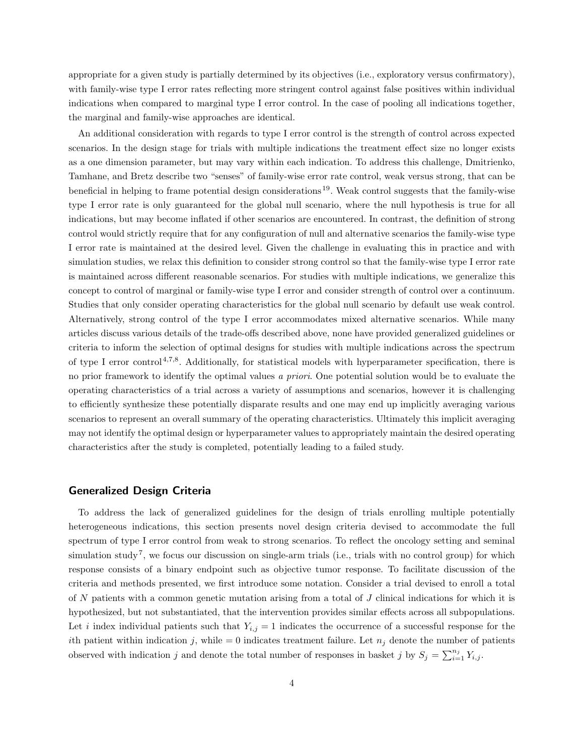appropriate for a given study is partially determined by its objectives (i.e., exploratory versus confirmatory), with family-wise type I error rates reflecting more stringent control against false positives within individual indications when compared to marginal type I error control. In the case of pooling all indications together, the marginal and family-wise approaches are identical.

An additional consideration with regards to type I error control is the strength of control across expected scenarios. In the design stage for trials with multiple indications the treatment effect size no longer exists as a one dimension parameter, but may vary within each indication. To address this challenge, Dmitrienko, Tamhane, and Bretz describe two "senses" of family-wise error rate control, weak versus strong, that can be beneficial in helping to frame potential design considerations <sup>19</sup>. Weak control suggests that the family-wise type I error rate is only guaranteed for the global null scenario, where the null hypothesis is true for all indications, but may become inflated if other scenarios are encountered. In contrast, the definition of strong control would strictly require that for any configuration of null and alternative scenarios the family-wise type I error rate is maintained at the desired level. Given the challenge in evaluating this in practice and with simulation studies, we relax this definition to consider strong control so that the family-wise type I error rate is maintained across different reasonable scenarios. For studies with multiple indications, we generalize this concept to control of marginal or family-wise type I error and consider strength of control over a continuum. Studies that only consider operating characteristics for the global null scenario by default use weak control. Alternatively, strong control of the type I error accommodates mixed alternative scenarios. While many articles discuss various details of the trade-offs described above, none have provided generalized guidelines or criteria to inform the selection of optimal designs for studies with multiple indications across the spectrum of type I error control<sup>4,7,8</sup>. Additionally, for statistical models with hyperparameter specification, there is no prior framework to identify the optimal values a priori. One potential solution would be to evaluate the operating characteristics of a trial across a variety of assumptions and scenarios, however it is challenging to efficiently synthesize these potentially disparate results and one may end up implicitly averaging various scenarios to represent an overall summary of the operating characteristics. Ultimately this implicit averaging may not identify the optimal design or hyperparameter values to appropriately maintain the desired operating characteristics after the study is completed, potentially leading to a failed study.

#### Generalized Design Criteria

To address the lack of generalized guidelines for the design of trials enrolling multiple potentially heterogeneous indications, this section presents novel design criteria devised to accommodate the full spectrum of type I error control from weak to strong scenarios. To reflect the oncology setting and seminal simulation study<sup>7</sup>, we focus our discussion on single-arm trials (i.e., trials with no control group) for which response consists of a binary endpoint such as objective tumor response. To facilitate discussion of the criteria and methods presented, we first introduce some notation. Consider a trial devised to enroll a total of N patients with a common genetic mutation arising from a total of  $J$  clinical indications for which it is hypothesized, but not substantiated, that the intervention provides similar effects across all subpopulations. Let i index individual patients such that  $Y_{i,j} = 1$  indicates the occurrence of a successful response for the ith patient within indication j, while = 0 indicates treatment failure. Let  $n_j$  denote the number of patients observed with indication j and denote the total number of responses in basket j by  $S_j = \sum_{i=1}^{n_j} Y_{i,j}$ .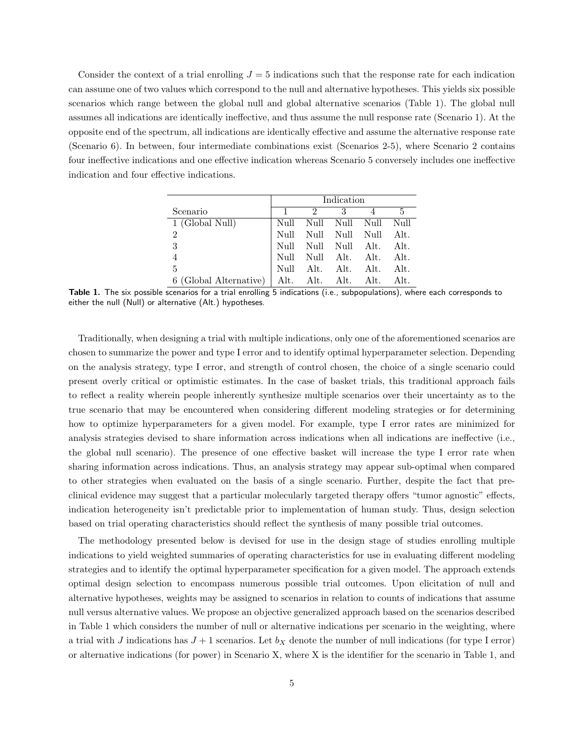Consider the context of a trial enrolling  $J = 5$  indications such that the response rate for each indication can assume one of two values which correspond to the null and alternative hypotheses. This yields six possible scenarios which range between the global null and global alternative scenarios (Table 1). The global null assumes all indications are identically ineffective, and thus assume the null response rate (Scenario 1). At the opposite end of the spectrum, all indications are identically effective and assume the alternative response rate (Scenario 6). In between, four intermediate combinations exist (Scenarios 2-5), where Scenario 2 contains four ineffective indications and one effective indication whereas Scenario 5 conversely includes one ineffective indication and four effective indications.

|                                                        | Indication |                             |   |  |        |  |  |  |  |
|--------------------------------------------------------|------------|-----------------------------|---|--|--------|--|--|--|--|
| Scenario                                               |            | $\mathcal{D}_{\mathcal{L}}$ | 3 |  | 5      |  |  |  |  |
| 1 (Global Null)                                        | Null       | Null Null Null              |   |  | – Null |  |  |  |  |
| $\overline{2}$                                         |            | Null Null Null Null Alt.    |   |  |        |  |  |  |  |
| 3                                                      |            | Null Null Null Alt. Alt.    |   |  |        |  |  |  |  |
| 4                                                      |            | Null Null Alt. Alt. Alt.    |   |  |        |  |  |  |  |
| 5                                                      |            | Null Alt. Alt. Alt. Alt.    |   |  |        |  |  |  |  |
| 6 (Global Alternative)   Alt. Alt. Alt. Alt. Alt. Alt. |            |                             |   |  |        |  |  |  |  |

Table 1. The six possible scenarios for a trial enrolling 5 indications (i.e., subpopulations), where each corresponds to either the null (Null) or alternative (Alt.) hypotheses.

Traditionally, when designing a trial with multiple indications, only one of the aforementioned scenarios are chosen to summarize the power and type I error and to identify optimal hyperparameter selection. Depending on the analysis strategy, type I error, and strength of control chosen, the choice of a single scenario could present overly critical or optimistic estimates. In the case of basket trials, this traditional approach fails to reflect a reality wherein people inherently synthesize multiple scenarios over their uncertainty as to the true scenario that may be encountered when considering different modeling strategies or for determining how to optimize hyperparameters for a given model. For example, type I error rates are minimized for analysis strategies devised to share information across indications when all indications are ineffective (i.e., the global null scenario). The presence of one effective basket will increase the type I error rate when sharing information across indications. Thus, an analysis strategy may appear sub-optimal when compared to other strategies when evaluated on the basis of a single scenario. Further, despite the fact that preclinical evidence may suggest that a particular molecularly targeted therapy offers "tumor agnostic" effects, indication heterogeneity isn't predictable prior to implementation of human study. Thus, design selection based on trial operating characteristics should reflect the synthesis of many possible trial outcomes.

The methodology presented below is devised for use in the design stage of studies enrolling multiple indications to yield weighted summaries of operating characteristics for use in evaluating different modeling strategies and to identify the optimal hyperparameter specification for a given model. The approach extends optimal design selection to encompass numerous possible trial outcomes. Upon elicitation of null and alternative hypotheses, weights may be assigned to scenarios in relation to counts of indications that assume null versus alternative values. We propose an objective generalized approach based on the scenarios described in Table 1 which considers the number of null or alternative indications per scenario in the weighting, where a trial with J indications has  $J + 1$  scenarios. Let  $b<sub>X</sub>$  denote the number of null indications (for type I error) or alternative indications (for power) in Scenario X, where X is the identifier for the scenario in Table 1, and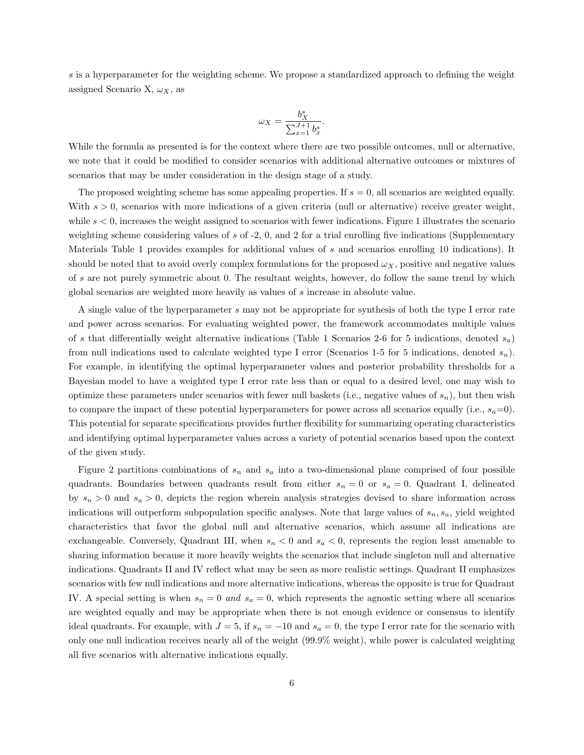s is a hyperparameter for the weighting scheme. We propose a standardized approach to defining the weight assigned Scenario X,  $\omega_X$ , as

$$
\omega_X = \frac{b_X^s}{\sum_{x=1}^{J+1} b_x^s}.
$$

While the formula as presented is for the context where there are two possible outcomes, null or alternative, we note that it could be modified to consider scenarios with additional alternative outcomes or mixtures of scenarios that may be under consideration in the design stage of a study.

The proposed weighting scheme has some appealing properties. If  $s = 0$ , all scenarios are weighted equally. With  $s > 0$ , scenarios with more indications of a given criteria (null or alternative) receive greater weight, while  $s < 0$ , increases the weight assigned to scenarios with fewer indications. Figure 1 illustrates the scenario weighting scheme considering values of s of -2, 0, and 2 for a trial enrolling five indications (Supplementary Materials Table 1 provides examples for additional values of s and scenarios enrolling 10 indications). It should be noted that to avoid overly complex formulations for the proposed  $\omega_X$ , positive and negative values of s are not purely symmetric about 0. The resultant weights, however, do follow the same trend by which global scenarios are weighted more heavily as values of s increase in absolute value.

A single value of the hyperparameter s may not be appropriate for synthesis of both the type I error rate and power across scenarios. For evaluating weighted power, the framework accommodates multiple values of s that differentially weight alternative indications (Table 1 Scenarios 2-6 for 5 indications, denoted  $s_a$ ) from null indications used to calculate weighted type I error (Scenarios 1-5 for 5 indications, denoted  $s_n$ ). For example, in identifying the optimal hyperparameter values and posterior probability thresholds for a Bayesian model to have a weighted type I error rate less than or equal to a desired level, one may wish to optimize these parameters under scenarios with fewer null baskets (i.e., negative values of  $s_n$ ), but then wish to compare the impact of these potential hyperparameters for power across all scenarios equally (i.e.,  $s_a=0$ ). This potential for separate specifications provides further flexibility for summarizing operating characteristics and identifying optimal hyperparameter values across a variety of potential scenarios based upon the context of the given study.

Figure 2 partitions combinations of  $s_n$  and  $s_a$  into a two-dimensional plane comprised of four possible quadrants. Boundaries between quadrants result from either  $s_n = 0$  or  $s_a = 0$ . Quadrant I, delineated by  $s_n > 0$  and  $s_a > 0$ , depicts the region wherein analysis strategies devised to share information across indications will outperform subpopulation specific analyses. Note that large values of  $s_n, s_a$ , yield weighted characteristics that favor the global null and alternative scenarios, which assume all indications are exchangeable. Conversely, Quadrant III, when  $s_n < 0$  and  $s_a < 0$ , represents the region least amenable to sharing information because it more heavily weights the scenarios that include singleton null and alternative indications. Quadrants II and IV reflect what may be seen as more realistic settings. Quadrant II emphasizes scenarios with few null indications and more alternative indications, whereas the opposite is true for Quadrant IV. A special setting is when  $s_n = 0$  and  $s_a = 0$ , which represents the agnostic setting where all scenarios are weighted equally and may be appropriate when there is not enough evidence or consensus to identify ideal quadrants. For example, with  $J = 5$ , if  $s_n = -10$  and  $s_n = 0$ , the type I error rate for the scenario with only one null indication receives nearly all of the weight (99.9% weight), while power is calculated weighting all five scenarios with alternative indications equally.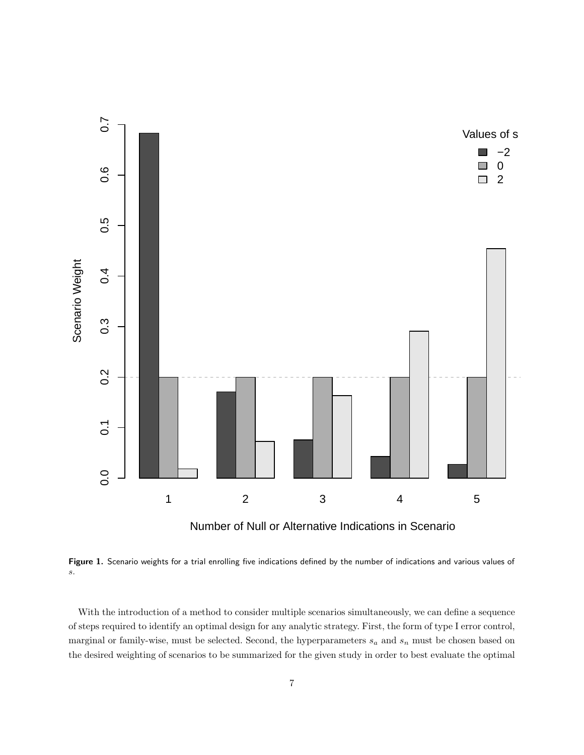

Number of Null or Alternative Indications in Scenario

Figure 1. Scenario weights for a trial enrolling five indications defined by the number of indications and various values of s.

With the introduction of a method to consider multiple scenarios simultaneously, we can define a sequence of steps required to identify an optimal design for any analytic strategy. First, the form of type I error control, marginal or family-wise, must be selected. Second, the hyperparameters  $s_a$  and  $s_n$  must be chosen based on the desired weighting of scenarios to be summarized for the given study in order to best evaluate the optimal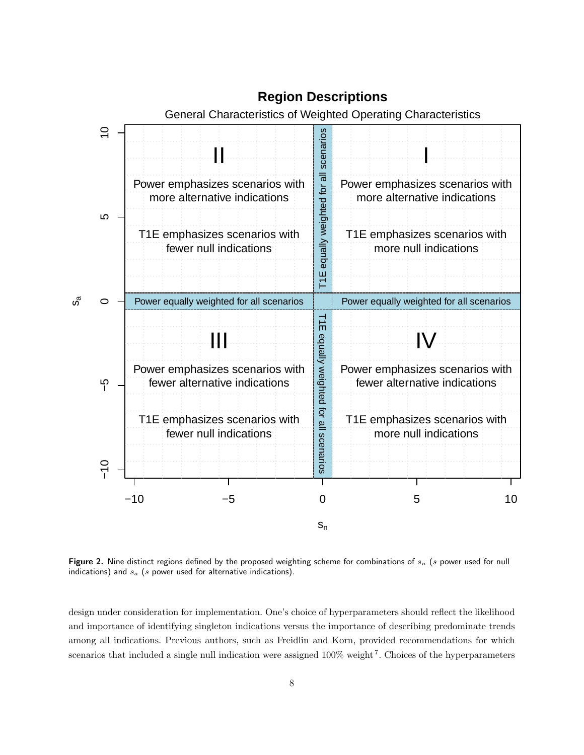

## **Region Descriptions**

Figure 2. Nine distinct regions defined by the proposed weighting scheme for combinations of  $s_n$  (s power used for null indications) and  $s_a$  (s power used for alternative indications).

design under consideration for implementation. One's choice of hyperparameters should reflect the likelihood and importance of identifying singleton indications versus the importance of describing predominate trends among all indications. Previous authors, such as Freidlin and Korn, provided recommendations for which scenarios that included a single null indication were assigned 100% weight<sup>7</sup>. Choices of the hyperparameters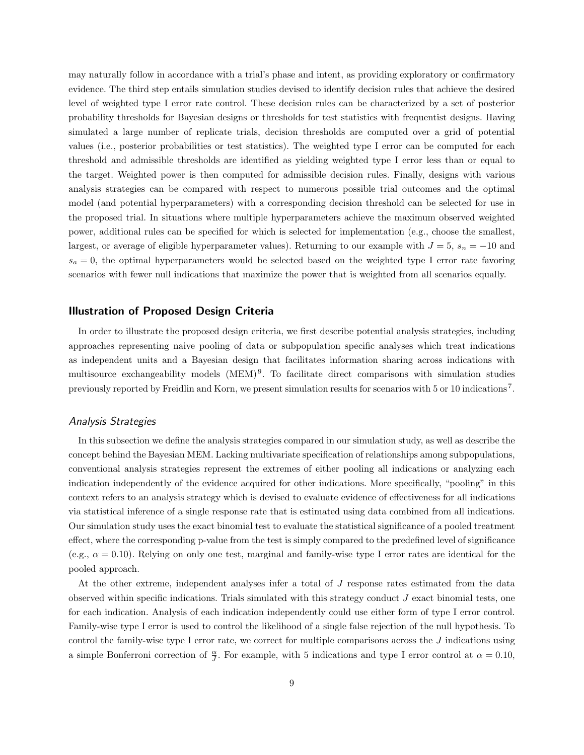may naturally follow in accordance with a trial's phase and intent, as providing exploratory or confirmatory evidence. The third step entails simulation studies devised to identify decision rules that achieve the desired level of weighted type I error rate control. These decision rules can be characterized by a set of posterior probability thresholds for Bayesian designs or thresholds for test statistics with frequentist designs. Having simulated a large number of replicate trials, decision thresholds are computed over a grid of potential values (i.e., posterior probabilities or test statistics). The weighted type I error can be computed for each threshold and admissible thresholds are identified as yielding weighted type I error less than or equal to the target. Weighted power is then computed for admissible decision rules. Finally, designs with various analysis strategies can be compared with respect to numerous possible trial outcomes and the optimal model (and potential hyperparameters) with a corresponding decision threshold can be selected for use in the proposed trial. In situations where multiple hyperparameters achieve the maximum observed weighted power, additional rules can be specified for which is selected for implementation (e.g., choose the smallest, largest, or average of eligible hyperparameter values). Returning to our example with  $J = 5$ ,  $s_n = -10$  and  $s_a = 0$ , the optimal hyperparameters would be selected based on the weighted type I error rate favoring scenarios with fewer null indications that maximize the power that is weighted from all scenarios equally.

#### Illustration of Proposed Design Criteria

In order to illustrate the proposed design criteria, we first describe potential analysis strategies, including approaches representing naive pooling of data or subpopulation specific analyses which treat indications as independent units and a Bayesian design that facilitates information sharing across indications with multisource exchangeability models (MEM)<sup>9</sup>. To facilitate direct comparisons with simulation studies previously reported by Freidlin and Korn, we present simulation results for scenarios with 5 or 10 indications<sup>7</sup>.

#### Analysis Strategies

In this subsection we define the analysis strategies compared in our simulation study, as well as describe the concept behind the Bayesian MEM. Lacking multivariate specification of relationships among subpopulations, conventional analysis strategies represent the extremes of either pooling all indications or analyzing each indication independently of the evidence acquired for other indications. More specifically, "pooling" in this context refers to an analysis strategy which is devised to evaluate evidence of effectiveness for all indications via statistical inference of a single response rate that is estimated using data combined from all indications. Our simulation study uses the exact binomial test to evaluate the statistical significance of a pooled treatment effect, where the corresponding p-value from the test is simply compared to the predefined level of significance (e.g.,  $\alpha = 0.10$ ). Relying on only one test, marginal and family-wise type I error rates are identical for the pooled approach.

At the other extreme, independent analyses infer a total of J response rates estimated from the data observed within specific indications. Trials simulated with this strategy conduct  $J$  exact binomial tests, one for each indication. Analysis of each indication independently could use either form of type I error control. Family-wise type I error is used to control the likelihood of a single false rejection of the null hypothesis. To control the family-wise type I error rate, we correct for multiple comparisons across the J indications using a simple Bonferroni correction of  $\frac{\alpha}{J}$ . For example, with 5 indications and type I error control at  $\alpha = 0.10$ ,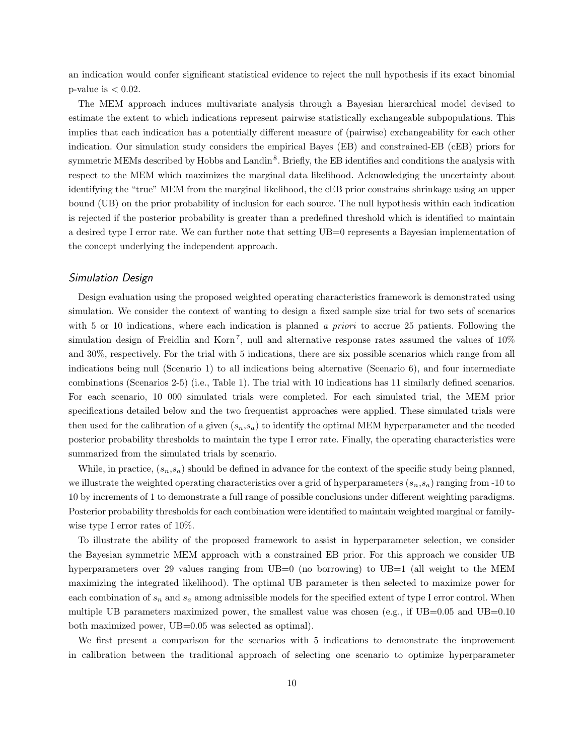an indication would confer significant statistical evidence to reject the null hypothesis if its exact binomial p-value is  $< 0.02$ .

The MEM approach induces multivariate analysis through a Bayesian hierarchical model devised to estimate the extent to which indications represent pairwise statistically exchangeable subpopulations. This implies that each indication has a potentially different measure of (pairwise) exchangeability for each other indication. Our simulation study considers the empirical Bayes (EB) and constrained-EB (cEB) priors for symmetric MEMs described by Hobbs and Landin<sup>8</sup>. Briefly, the EB identifies and conditions the analysis with respect to the MEM which maximizes the marginal data likelihood. Acknowledging the uncertainty about identifying the "true" MEM from the marginal likelihood, the cEB prior constrains shrinkage using an upper bound (UB) on the prior probability of inclusion for each source. The null hypothesis within each indication is rejected if the posterior probability is greater than a predefined threshold which is identified to maintain a desired type I error rate. We can further note that setting UB=0 represents a Bayesian implementation of the concept underlying the independent approach.

#### Simulation Design

Design evaluation using the proposed weighted operating characteristics framework is demonstrated using simulation. We consider the context of wanting to design a fixed sample size trial for two sets of scenarios with 5 or 10 indications, where each indication is planned a priori to accrue 25 patients. Following the simulation design of Freidlin and Korn<sup>7</sup>, null and alternative response rates assumed the values of 10% and 30%, respectively. For the trial with 5 indications, there are six possible scenarios which range from all indications being null (Scenario 1) to all indications being alternative (Scenario 6), and four intermediate combinations (Scenarios 2-5) (i.e., Table 1). The trial with 10 indications has 11 similarly defined scenarios. For each scenario, 10 000 simulated trials were completed. For each simulated trial, the MEM prior specifications detailed below and the two frequentist approaches were applied. These simulated trials were then used for the calibration of a given  $(s_n, s_a)$  to identify the optimal MEM hyperparameter and the needed posterior probability thresholds to maintain the type I error rate. Finally, the operating characteristics were summarized from the simulated trials by scenario.

While, in practice,  $(s_n, s_a)$  should be defined in advance for the context of the specific study being planned, we illustrate the weighted operating characteristics over a grid of hyperparameters  $(s_n, s_a)$  ranging from -10 to 10 by increments of 1 to demonstrate a full range of possible conclusions under different weighting paradigms. Posterior probability thresholds for each combination were identified to maintain weighted marginal or familywise type I error rates of 10%.

To illustrate the ability of the proposed framework to assist in hyperparameter selection, we consider the Bayesian symmetric MEM approach with a constrained EB prior. For this approach we consider UB hyperparameters over 29 values ranging from  $UB=0$  (no borrowing) to  $UB=1$  (all weight to the MEM maximizing the integrated likelihood). The optimal UB parameter is then selected to maximize power for each combination of  $s_n$  and  $s_a$  among admissible models for the specified extent of type I error control. When multiple UB parameters maximized power, the smallest value was chosen (e.g., if  $UB=0.05$  and  $UB=0.10$ ) both maximized power, UB=0.05 was selected as optimal).

We first present a comparison for the scenarios with 5 indications to demonstrate the improvement in calibration between the traditional approach of selecting one scenario to optimize hyperparameter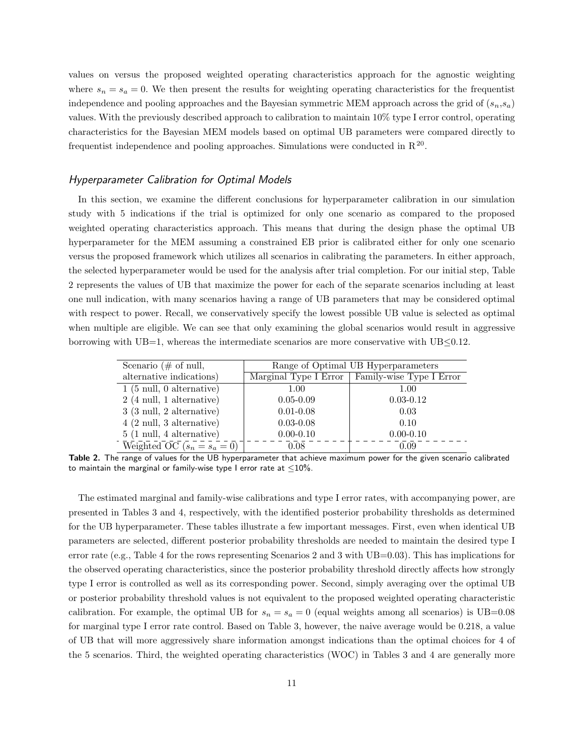values on versus the proposed weighted operating characteristics approach for the agnostic weighting where  $s_n = s_a = 0$ . We then present the results for weighting operating characteristics for the frequentist independence and pooling approaches and the Bayesian symmetric MEM approach across the grid of  $(s_n, s_a)$ values. With the previously described approach to calibration to maintain 10% type I error control, operating characteristics for the Bayesian MEM models based on optimal UB parameters were compared directly to frequentist independence and pooling approaches. Simulations were conducted in  $R^{20}$ .

#### Hyperparameter Calibration for Optimal Models

In this section, we examine the different conclusions for hyperparameter calibration in our simulation study with 5 indications if the trial is optimized for only one scenario as compared to the proposed weighted operating characteristics approach. This means that during the design phase the optimal UB hyperparameter for the MEM assuming a constrained EB prior is calibrated either for only one scenario versus the proposed framework which utilizes all scenarios in calibrating the parameters. In either approach, the selected hyperparameter would be used for the analysis after trial completion. For our initial step, Table 2 represents the values of UB that maximize the power for each of the separate scenarios including at least one null indication, with many scenarios having a range of UB parameters that may be considered optimal with respect to power. Recall, we conservatively specify the lowest possible UB value is selected as optimal when multiple are eligible. We can see that only examining the global scenarios would result in aggressive borrowing with  $UB=1$ , whereas the intermediate scenarios are more conservative with  $UB\leq 0.12$ .

| Scenario $(\# \text{ of null},$            | Range of Optimal UB Hyperparameters |                          |  |  |  |  |  |  |
|--------------------------------------------|-------------------------------------|--------------------------|--|--|--|--|--|--|
| alternative indications)                   | Marginal Type I Error               | Family-wise Type I Error |  |  |  |  |  |  |
| $1(5 \text{ null}, 0 \text{ alternative})$ | 1.00                                | 1.00                     |  |  |  |  |  |  |
| $2(4 \text{ null}, 1 \text{ alternative})$ | $0.05 - 0.09$                       | $0.03 - 0.12$            |  |  |  |  |  |  |
| $3(3 \text{ null}, 2 \text{ alternative})$ | $0.01 - 0.08$                       | 0.03                     |  |  |  |  |  |  |
| $4(2 \text{ null}, 3 \text{ alternative})$ | $0.03 - 0.08$                       | 0.10                     |  |  |  |  |  |  |
| $5(1 \text{ null}, 4 \text{ alternative})$ | $0.00 - 0.10$                       | $0.00 - 0.10$            |  |  |  |  |  |  |
| Weighted OC $(s_n = s_a = 0)$              | 0.08                                | 0.09                     |  |  |  |  |  |  |

Table 2. The range of values for the UB hyperparameter that achieve maximum power for the given scenario calibrated to maintain the marginal or family-wise type I error rate at  $\leq$ 10%.

The estimated marginal and family-wise calibrations and type I error rates, with accompanying power, are presented in Tables 3 and 4, respectively, with the identified posterior probability thresholds as determined for the UB hyperparameter. These tables illustrate a few important messages. First, even when identical UB parameters are selected, different posterior probability thresholds are needed to maintain the desired type I error rate (e.g., Table 4 for the rows representing Scenarios 2 and 3 with UB=0.03). This has implications for the observed operating characteristics, since the posterior probability threshold directly affects how strongly type I error is controlled as well as its corresponding power. Second, simply averaging over the optimal UB or posterior probability threshold values is not equivalent to the proposed weighted operating characteristic calibration. For example, the optimal UB for  $s_n = s_a = 0$  (equal weights among all scenarios) is UB=0.08 for marginal type I error rate control. Based on Table 3, however, the naive average would be 0.218, a value of UB that will more aggressively share information amongst indications than the optimal choices for 4 of the 5 scenarios. Third, the weighted operating characteristics (WOC) in Tables 3 and 4 are generally more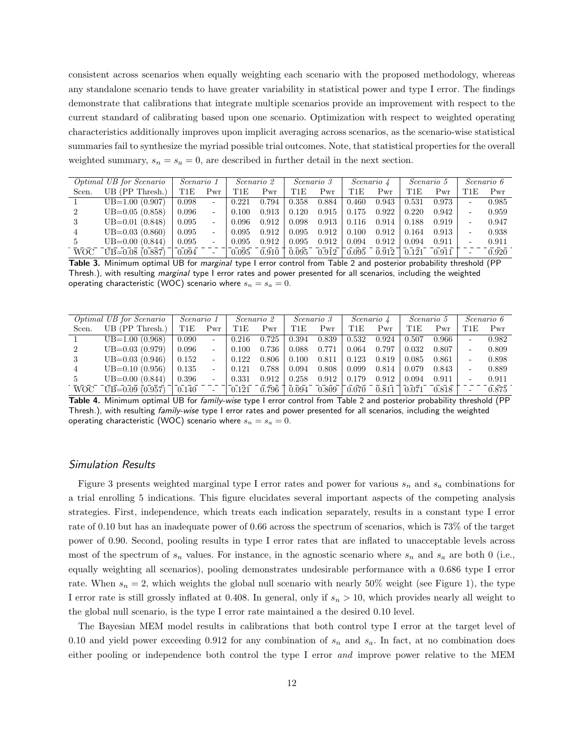consistent across scenarios when equally weighting each scenario with the proposed methodology, whereas any standalone scenario tends to have greater variability in statistical power and type I error. The findings demonstrate that calibrations that integrate multiple scenarios provide an improvement with respect to the current standard of calibrating based upon one scenario. Optimization with respect to weighted operating characteristics additionally improves upon implicit averaging across scenarios, as the scenario-wise statistical summaries fail to synthesize the myriad possible trial outcomes. Note, that statistical properties for the overall weighted summary,  $s_n = s_a = 0$ , are described in further detail in the next section.

| <i>Optimal UB for Scenario</i> |                   | <i>Scenario</i> 1 |     | <i>Scenario</i> 2 |       | <i>Scenario 3</i> |       | Scenario 4 |       | <i>Scenario 5</i> |       | Scenario 6 |       |
|--------------------------------|-------------------|-------------------|-----|-------------------|-------|-------------------|-------|------------|-------|-------------------|-------|------------|-------|
| Scen.                          | $UB$ (PP Thresh.) | ${\rm T1E}$       | Pwr | T1E               | Pwr   | T1E               | Pwr   | T1E        | Pwr   | T1E               | Pwr   | T1E        | Pwr   |
|                                | $UB=1.00(0.907)$  | 0.098             | -   | 0.221             | 0.794 | 0.358             | 0.884 | 0.460      | 0.943 | 0.531             | 0.973 | -          | 0.985 |
| $\overline{2}$                 | $UB=0.05(0.858)$  | 0.096             | -   | 0.100             | 0.913 | 0.120             | 0.915 | 0.175      | 0.922 | 0.220             | 0.942 | -          | 0.959 |
| 3                              | $UB=0.01(0.848)$  | 0.095             | ۰   | 0.096             | 0.912 | 0.098             | 0.913 | 0.116      | 0.914 | 0.188             | 0.919 | ۰          | 0.947 |
| 4                              | $UB=0.03(0.860)$  | 0.095             | -   | 0.095             | 0.912 | 0.095             | 0.912 | 0.100      | 0.912 | 0.164             | 0.913 | -          | 0.938 |
|                                | $UB=0.00(0.844)$  | 0.095             | -   | 0.095             | 0.912 | 0.095             | 0.912 | 0.094      | 0.912 | 0.094             | 0.911 |            | 0.911 |
| WOC                            | $UB=0.08(0.887)$  | 0.094             | ٠   | 0.095             | 0.910 | 0.095             | 0.912 | 0.095      | 0.912 | 0.121             | 0.911 |            | 0.920 |

Table 3. Minimum optimal UB for *marginal* type I error control from Table 2 and posterior probability threshold (PP Thresh.), with resulting marginal type I error rates and power presented for all scenarios, including the weighted operating characteristic (WOC) scenario where  $s_n = s_a = 0$ .

| <i>Optimal UB for Scenario</i> |                   | <i>Scenario</i> 1 |     | <i>Scenario</i> 2 |       | <i>Scenario 3</i> |       | Scenario 4 |       | <i>Scenario</i> 5 |       | Scenario 6 |       |
|--------------------------------|-------------------|-------------------|-----|-------------------|-------|-------------------|-------|------------|-------|-------------------|-------|------------|-------|
| Scen.                          | $UB$ (PP Thresh.) | ${\rm T1E}$       | Pwr | T1E               | Pwr   | T1E               | Pwr   | T1E        | Pwr   | T1E               | Pwr   | T1E        | Pwr   |
|                                | $UB=1.00(0.968)$  | 0.090             | -   | 0.216             | 0.725 | 0.394             | 0.839 | 0.532      | 0.924 | 0.507             | 0.966 | ۰          | 0.982 |
| 2                              | $UB=0.03(0.979)$  | 0.096             | Ξ.  | 0.100             | 0.736 | 0.088             | 0.771 | 0.064      | 0.797 | 0.032             | 0.807 | ٠          | 0.809 |
| 3                              | $UB=0.03(0.946)$  | 0.152             | -   | 0.122             | 0.806 | 0.100             | 0.811 | 0.123      | 0.819 | 0.085             | 0.861 | ۰          | 0.898 |
|                                | $UB=0.10(0.956)$  | 0.135             | -   | 0.121             | 0.788 | 0.094             | 0.808 | 0.099      | 0.814 | 0.079             | 0.843 | ۰          | 0.889 |
| 5                              | $UB=0.00(0.844)$  | 0.396             | -   | 0.331             | 0.912 | 0.258             | 0.912 | 0.179      | 0.912 | 0.094             | 0.911 | ۰          | 0.911 |
| WOC                            | $UB=0.09(0.957)$  | 0.140             | -   | 0.121             | 0.796 | 0.094             | 0.809 | 0.070      | 0.811 | 0.071             | 0.818 | -          | 0.875 |

Table 4. Minimum optimal UB for *family-wise* type I error control from Table 2 and posterior probability threshold (PP Thresh.), with resulting family-wise type I error rates and power presented for all scenarios, including the weighted operating characteristic (WOC) scenario where  $s_n = s_a = 0$ .

#### Simulation Results

Figure 3 presents weighted marginal type I error rates and power for various  $s_n$  and  $s_a$  combinations for a trial enrolling 5 indications. This figure elucidates several important aspects of the competing analysis strategies. First, independence, which treats each indication separately, results in a constant type I error rate of 0.10 but has an inadequate power of 0.66 across the spectrum of scenarios, which is 73% of the target power of 0.90. Second, pooling results in type I error rates that are inflated to unacceptable levels across most of the spectrum of  $s_n$  values. For instance, in the agnostic scenario where  $s_n$  and  $s_a$  are both 0 (i.e., equally weighting all scenarios), pooling demonstrates undesirable performance with a 0.686 type I error rate. When  $s_n = 2$ , which weights the global null scenario with nearly 50% weight (see Figure 1), the type I error rate is still grossly inflated at 0.408. In general, only if  $s_n > 10$ , which provides nearly all weight to the global null scenario, is the type I error rate maintained a the desired 0.10 level.

The Bayesian MEM model results in calibrations that both control type I error at the target level of 0.10 and yield power exceeding 0.912 for any combination of  $s_n$  and  $s_a$ . In fact, at no combination does either pooling or independence both control the type I error and improve power relative to the MEM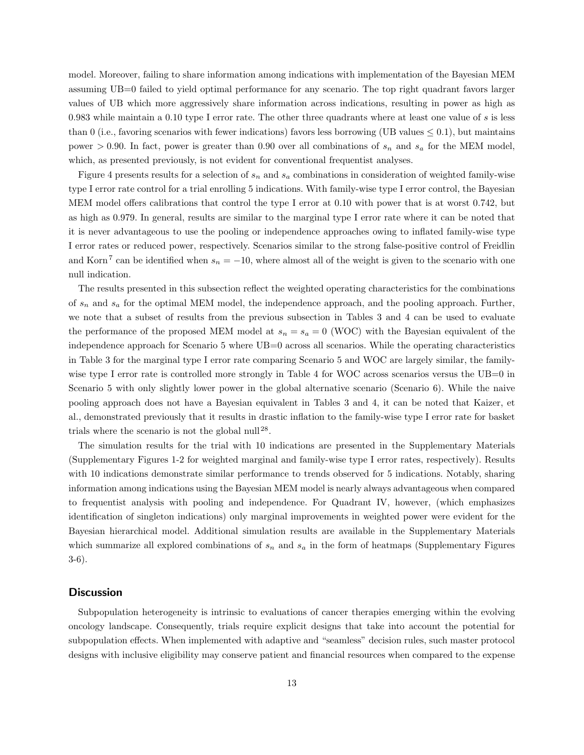model. Moreover, failing to share information among indications with implementation of the Bayesian MEM assuming UB=0 failed to yield optimal performance for any scenario. The top right quadrant favors larger values of UB which more aggressively share information across indications, resulting in power as high as 0.983 while maintain a 0.10 type I error rate. The other three quadrants where at least one value of s is less than 0 (i.e., favoring scenarios with fewer indications) favors less borrowing (UB values  $\leq$  0.1), but maintains power > 0.90. In fact, power is greater than 0.90 over all combinations of  $s_n$  and  $s_a$  for the MEM model, which, as presented previously, is not evident for conventional frequentist analyses.

Figure 4 presents results for a selection of  $s_n$  and  $s_a$  combinations in consideration of weighted family-wise type I error rate control for a trial enrolling 5 indications. With family-wise type I error control, the Bayesian MEM model offers calibrations that control the type I error at 0.10 with power that is at worst 0.742, but as high as 0.979. In general, results are similar to the marginal type I error rate where it can be noted that it is never advantageous to use the pooling or independence approaches owing to inflated family-wise type I error rates or reduced power, respectively. Scenarios similar to the strong false-positive control of Freidlin and Korn<sup>7</sup> can be identified when  $s_n = -10$ , where almost all of the weight is given to the scenario with one null indication.

The results presented in this subsection reflect the weighted operating characteristics for the combinations of  $s_n$  and  $s_a$  for the optimal MEM model, the independence approach, and the pooling approach. Further, we note that a subset of results from the previous subsection in Tables 3 and 4 can be used to evaluate the performance of the proposed MEM model at  $s_n = s_a = 0$  (WOC) with the Bayesian equivalent of the independence approach for Scenario 5 where UB=0 across all scenarios. While the operating characteristics in Table 3 for the marginal type I error rate comparing Scenario 5 and WOC are largely similar, the familywise type I error rate is controlled more strongly in Table 4 for WOC across scenarios versus the UB=0 in Scenario 5 with only slightly lower power in the global alternative scenario (Scenario 6). While the naive pooling approach does not have a Bayesian equivalent in Tables 3 and 4, it can be noted that Kaizer, et al., demonstrated previously that it results in drastic inflation to the family-wise type I error rate for basket trials where the scenario is not the global null<sup>28</sup>.

The simulation results for the trial with 10 indications are presented in the Supplementary Materials (Supplementary Figures 1-2 for weighted marginal and family-wise type I error rates, respectively). Results with 10 indications demonstrate similar performance to trends observed for 5 indications. Notably, sharing information among indications using the Bayesian MEM model is nearly always advantageous when compared to frequentist analysis with pooling and independence. For Quadrant IV, however, (which emphasizes identification of singleton indications) only marginal improvements in weighted power were evident for the Bayesian hierarchical model. Additional simulation results are available in the Supplementary Materials which summarize all explored combinations of  $s_n$  and  $s_a$  in the form of heatmaps (Supplementary Figures 3-6).

#### **Discussion**

Subpopulation heterogeneity is intrinsic to evaluations of cancer therapies emerging within the evolving oncology landscape. Consequently, trials require explicit designs that take into account the potential for subpopulation effects. When implemented with adaptive and "seamless" decision rules, such master protocol designs with inclusive eligibility may conserve patient and financial resources when compared to the expense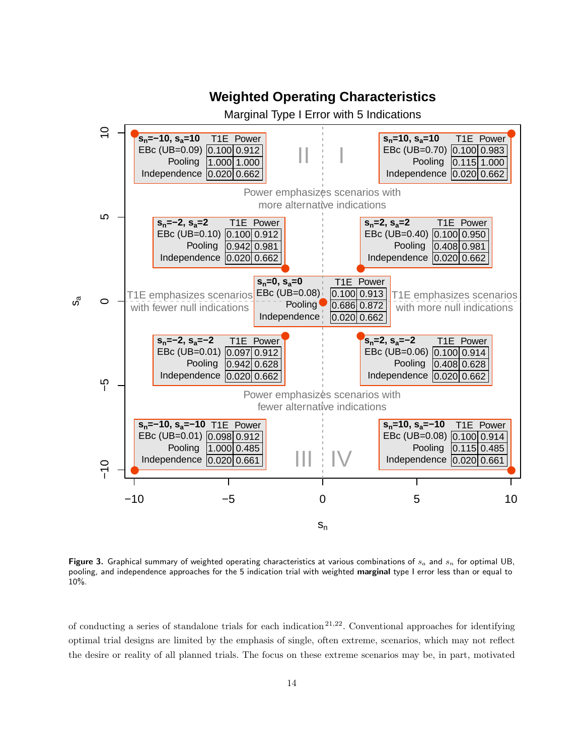

Figure 3. Graphical summary of weighted operating characteristics at various combinations of  $s_a$  and  $s_n$  for optimal UB, pooling, and independence approaches for the 5 indication trial with weighted marginal type I error less than or equal to 10%.

of conducting a series of standalone trials for each indication  $2^{1,22}$ . Conventional approaches for identifying optimal trial designs are limited by the emphasis of single, often extreme, scenarios, which may not reflect the desire or reality of all planned trials. The focus on these extreme scenarios may be, in part, motivated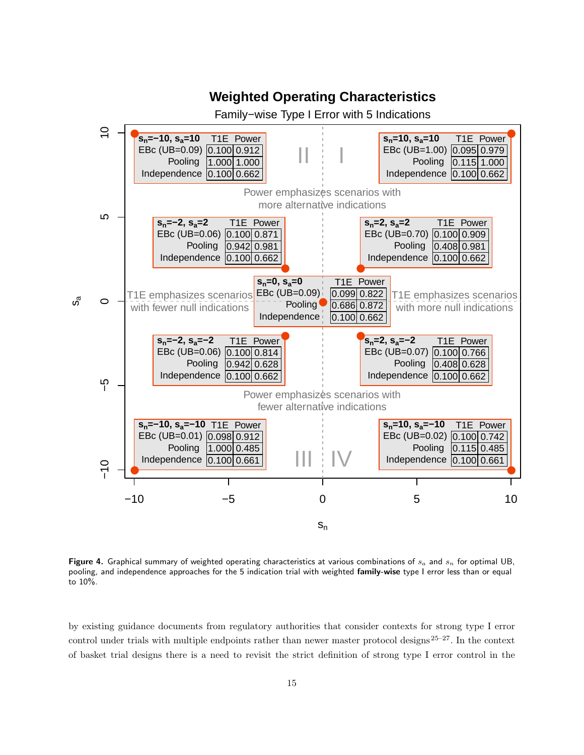

Figure 4. Graphical summary of weighted operating characteristics at various combinations of  $s_a$  and  $s_n$  for optimal UB, pooling, and independence approaches for the 5 indication trial with weighted family-wise type I error less than or equal to 10%.

by existing guidance documents from regulatory authorities that consider contexts for strong type I error control under trials with multiple endpoints rather than newer master protocol designs 25–27. In the context of basket trial designs there is a need to revisit the strict definition of strong type I error control in the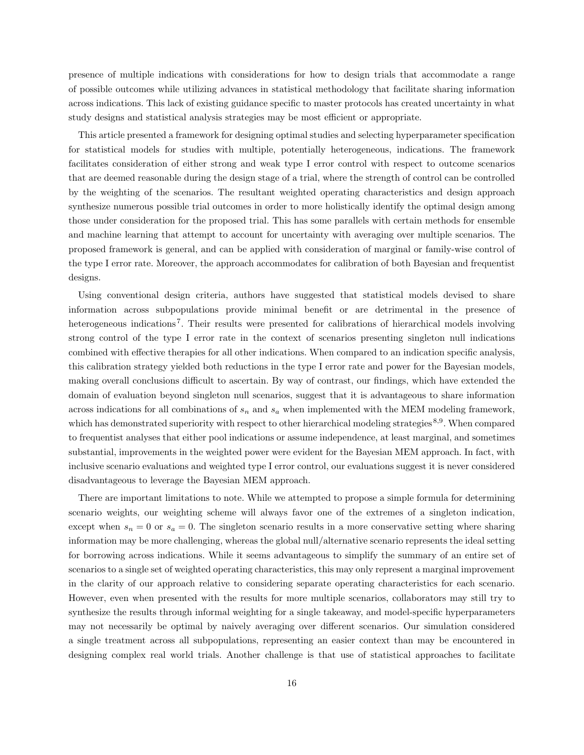presence of multiple indications with considerations for how to design trials that accommodate a range of possible outcomes while utilizing advances in statistical methodology that facilitate sharing information across indications. This lack of existing guidance specific to master protocols has created uncertainty in what study designs and statistical analysis strategies may be most efficient or appropriate.

This article presented a framework for designing optimal studies and selecting hyperparameter specification for statistical models for studies with multiple, potentially heterogeneous, indications. The framework facilitates consideration of either strong and weak type I error control with respect to outcome scenarios that are deemed reasonable during the design stage of a trial, where the strength of control can be controlled by the weighting of the scenarios. The resultant weighted operating characteristics and design approach synthesize numerous possible trial outcomes in order to more holistically identify the optimal design among those under consideration for the proposed trial. This has some parallels with certain methods for ensemble and machine learning that attempt to account for uncertainty with averaging over multiple scenarios. The proposed framework is general, and can be applied with consideration of marginal or family-wise control of the type I error rate. Moreover, the approach accommodates for calibration of both Bayesian and frequentist designs.

Using conventional design criteria, authors have suggested that statistical models devised to share information across subpopulations provide minimal benefit or are detrimental in the presence of heterogeneous indications<sup>7</sup>. Their results were presented for calibrations of hierarchical models involving strong control of the type I error rate in the context of scenarios presenting singleton null indications combined with effective therapies for all other indications. When compared to an indication specific analysis, this calibration strategy yielded both reductions in the type I error rate and power for the Bayesian models, making overall conclusions difficult to ascertain. By way of contrast, our findings, which have extended the domain of evaluation beyond singleton null scenarios, suggest that it is advantageous to share information across indications for all combinations of  $s_n$  and  $s_a$  when implemented with the MEM modeling framework, which has demonstrated superiority with respect to other hierarchical modeling strategies <sup>8,9</sup>. When compared to frequentist analyses that either pool indications or assume independence, at least marginal, and sometimes substantial, improvements in the weighted power were evident for the Bayesian MEM approach. In fact, with inclusive scenario evaluations and weighted type I error control, our evaluations suggest it is never considered disadvantageous to leverage the Bayesian MEM approach.

There are important limitations to note. While we attempted to propose a simple formula for determining scenario weights, our weighting scheme will always favor one of the extremes of a singleton indication, except when  $s_n = 0$  or  $s_a = 0$ . The singleton scenario results in a more conservative setting where sharing information may be more challenging, whereas the global null/alternative scenario represents the ideal setting for borrowing across indications. While it seems advantageous to simplify the summary of an entire set of scenarios to a single set of weighted operating characteristics, this may only represent a marginal improvement in the clarity of our approach relative to considering separate operating characteristics for each scenario. However, even when presented with the results for more multiple scenarios, collaborators may still try to synthesize the results through informal weighting for a single takeaway, and model-specific hyperparameters may not necessarily be optimal by naively averaging over different scenarios. Our simulation considered a single treatment across all subpopulations, representing an easier context than may be encountered in designing complex real world trials. Another challenge is that use of statistical approaches to facilitate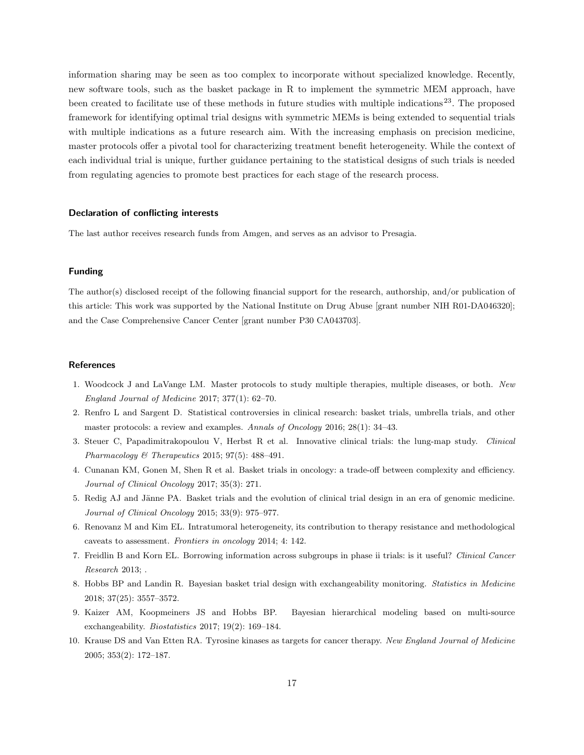information sharing may be seen as too complex to incorporate without specialized knowledge. Recently, new software tools, such as the basket package in R to implement the symmetric MEM approach, have been created to facilitate use of these methods in future studies with multiple indications<sup>23</sup>. The proposed framework for identifying optimal trial designs with symmetric MEMs is being extended to sequential trials with multiple indications as a future research aim. With the increasing emphasis on precision medicine, master protocols offer a pivotal tool for characterizing treatment benefit heterogeneity. While the context of each individual trial is unique, further guidance pertaining to the statistical designs of such trials is needed from regulating agencies to promote best practices for each stage of the research process.

#### Declaration of conflicting interests

The last author receives research funds from Amgen, and serves as an advisor to Presagia.

#### Funding

The author(s) disclosed receipt of the following financial support for the research, authorship, and/or publication of this article: This work was supported by the National Institute on Drug Abuse [grant number NIH R01-DA046320]; and the Case Comprehensive Cancer Center [grant number P30 CA043703].

#### References

- 1. Woodcock J and LaVange LM. Master protocols to study multiple therapies, multiple diseases, or both. New England Journal of Medicine  $2017$ ;  $377(1)$ :  $62-70$ .
- 2. Renfro L and Sargent D. Statistical controversies in clinical research: basket trials, umbrella trials, and other master protocols: a review and examples. Annals of Oncology 2016; 28(1): 34–43.
- 3. Steuer C, Papadimitrakopoulou V, Herbst R et al. Innovative clinical trials: the lung-map study. Clinical Pharmacology & Therapeutics 2015; 97(5): 488–491.
- 4. Cunanan KM, Gonen M, Shen R et al. Basket trials in oncology: a trade-off between complexity and efficiency. Journal of Clinical Oncology 2017; 35(3): 271.
- 5. Redig AJ and Jänne PA. Basket trials and the evolution of clinical trial design in an era of genomic medicine. Journal of Clinical Oncology 2015; 33(9): 975–977.
- 6. Renovanz M and Kim EL. Intratumoral heterogeneity, its contribution to therapy resistance and methodological caveats to assessment. Frontiers in oncology 2014; 4: 142.
- 7. Freidlin B and Korn EL. Borrowing information across subgroups in phase ii trials: is it useful? Clinical Cancer Research 2013; .
- 8. Hobbs BP and Landin R. Bayesian basket trial design with exchangeability monitoring. Statistics in Medicine 2018; 37(25): 3557–3572.
- 9. Kaizer AM, Koopmeiners JS and Hobbs BP. Bayesian hierarchical modeling based on multi-source exchangeability. Biostatistics 2017; 19(2): 169–184.
- 10. Krause DS and Van Etten RA. Tyrosine kinases as targets for cancer therapy. New England Journal of Medicine 2005; 353(2): 172–187.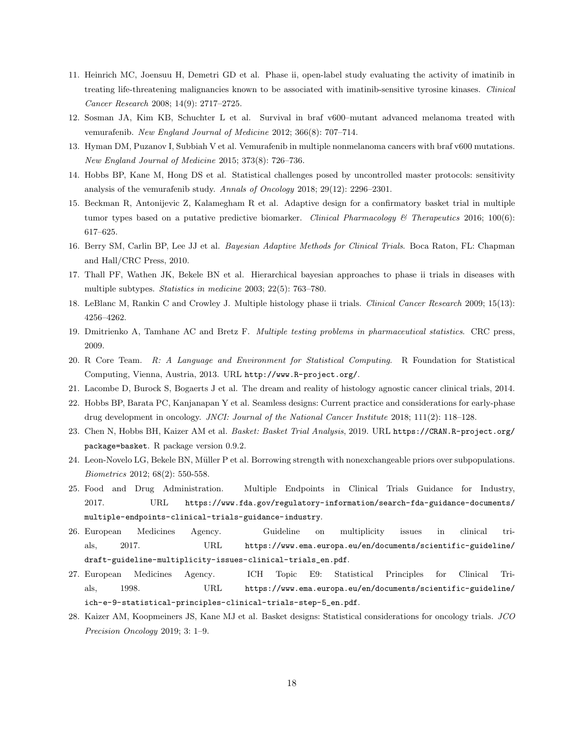- 11. Heinrich MC, Joensuu H, Demetri GD et al. Phase ii, open-label study evaluating the activity of imatinib in treating life-threatening malignancies known to be associated with imatinib-sensitive tyrosine kinases. Clinical Cancer Research 2008; 14(9): 2717–2725.
- 12. Sosman JA, Kim KB, Schuchter L et al. Survival in braf v600–mutant advanced melanoma treated with vemurafenib. New England Journal of Medicine 2012; 366(8): 707–714.
- 13. Hyman DM, Puzanov I, Subbiah V et al. Vemurafenib in multiple nonmelanoma cancers with braf v600 mutations. New England Journal of Medicine 2015; 373(8): 726–736.
- 14. Hobbs BP, Kane M, Hong DS et al. Statistical challenges posed by uncontrolled master protocols: sensitivity analysis of the vemurafenib study. Annals of Oncology 2018; 29(12): 2296–2301.
- 15. Beckman R, Antonijevic Z, Kalamegham R et al. Adaptive design for a confirmatory basket trial in multiple tumor types based on a putative predictive biomarker. Clinical Pharmacology & Therapeutics 2016; 100(6): 617–625.
- 16. Berry SM, Carlin BP, Lee JJ et al. Bayesian Adaptive Methods for Clinical Trials. Boca Raton, FL: Chapman and Hall/CRC Press, 2010.
- 17. Thall PF, Wathen JK, Bekele BN et al. Hierarchical bayesian approaches to phase ii trials in diseases with multiple subtypes. Statistics in medicine 2003; 22(5): 763–780.
- 18. LeBlanc M, Rankin C and Crowley J. Multiple histology phase ii trials. Clinical Cancer Research 2009; 15(13): 4256–4262.
- 19. Dmitrienko A, Tamhane AC and Bretz F. Multiple testing problems in pharmaceutical statistics. CRC press, 2009.
- 20. R Core Team. R: A Language and Environment for Statistical Computing. R Foundation for Statistical Computing, Vienna, Austria, 2013. URL http://www.R-project.org/.
- 21. Lacombe D, Burock S, Bogaerts J et al. The dream and reality of histology agnostic cancer clinical trials, 2014.
- 22. Hobbs BP, Barata PC, Kanjanapan Y et al. Seamless designs: Current practice and considerations for early-phase drug development in oncology. JNCI: Journal of the National Cancer Institute 2018; 111(2): 118–128.
- 23. Chen N, Hobbs BH, Kaizer AM et al. Basket: Basket Trial Analysis, 2019. URL https://CRAN.R-project.org/ package=basket. R package version 0.9.2.
- 24. Leon-Novelo LG, Bekele BN, M¨uller P et al. Borrowing strength with nonexchangeable priors over subpopulations. Biometrics 2012; 68(2): 550-558.
- 25. Food and Drug Administration. Multiple Endpoints in Clinical Trials Guidance for Industry, 2017. URL https://www.fda.gov/regulatory-information/search-fda-guidance-documents/ multiple-endpoints-clinical-trials-guidance-industry.
- 26. European Medicines Agency. Guideline on multiplicity issues in clinical trials, 2017. URL https://www.ema.europa.eu/en/documents/scientific-guideline/ draft-guideline-multiplicity-issues-clinical-trials\_en.pdf.
- 27. European Medicines Agency. ICH Topic E9: Statistical Principles for Clinical Trials, 1998. URL https://www.ema.europa.eu/en/documents/scientific-guideline/ ich-e-9-statistical-principles-clinical-trials-step-5\_en.pdf.
- 28. Kaizer AM, Koopmeiners JS, Kane MJ et al. Basket designs: Statistical considerations for oncology trials. JCO Precision Oncology 2019; 3: 1–9.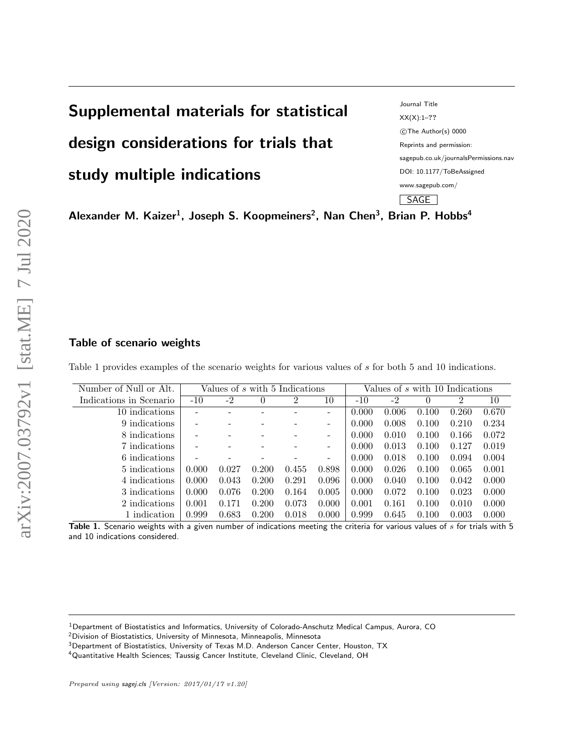# Supplemental materials for statistical design considerations for trials that study multiple indications

Journal Title  $XX(X):1-??$ C The Author(s) 0000 Reprints and permission: sagepub.co.uk/journalsPermissions.nav DOI: 10.1177/ToBeAssigned www.sagepub.com/ SAGE

Alexander M. Kaizer<sup>1</sup>, Joseph S. Koopmeiners<sup>2</sup>, Nan Chen<sup>3</sup>, Brian P. Hobbs<sup>4</sup>

### Table of scenario weights

Table 1 provides examples of the scenario weights for various values of s for both 5 and 10 indications.

| Number of Null or Alt.  | Values of s with 5 Indications |       |       |       |                          |       |       | Values of s with 10 Indications |       |       |  |
|-------------------------|--------------------------------|-------|-------|-------|--------------------------|-------|-------|---------------------------------|-------|-------|--|
| Indications in Scenario | $-10$                          | -2    | 0     | 2     | 10                       | $-10$ | -2    | $\theta$                        | 2     | 10    |  |
| 10 indications          |                                |       | -     |       | $\overline{\phantom{a}}$ | 0.000 | 0.006 | 0.100                           | 0.260 | 0.670 |  |
| 9 indications           |                                |       |       |       | $\overline{\phantom{a}}$ | 0.000 | 0.008 | 0.100                           | 0.210 | 0.234 |  |
| 8 indications           |                                |       |       |       | $\overline{\phantom{a}}$ | 0.000 | 0.010 | 0.100                           | 0.166 | 0.072 |  |
| 7 indications           |                                |       |       |       |                          | 0.000 | 0.013 | 0.100                           | 0.127 | 0.019 |  |
| 6 indications           |                                |       |       |       |                          | 0.000 | 0.018 | 0.100                           | 0.094 | 0.004 |  |
| 5 indications           | 0.000                          | 0.027 | 0.200 | 0.455 | 0.898                    | 0.000 | 0.026 | 0.100                           | 0.065 | 0.001 |  |
| 4 indications           | 0.000                          | 0.043 | 0.200 | 0.291 | 0.096                    | 0.000 | 0.040 | 0.100                           | 0.042 | 0.000 |  |
| 3 indications           | 0.000                          | 0.076 | 0.200 | 0.164 | 0.005                    | 0.000 | 0.072 | 0.100                           | 0.023 | 0.000 |  |
| 2 indications           | 0.001                          | 0.171 | 0.200 | 0.073 | 0.000                    | 0.001 | 0.161 | 0.100                           | 0.010 | 0.000 |  |
| indication              | 0.999                          | 0.683 | 0.200 | 0.018 | 0.000                    | 0.999 | 0.645 | 0.100                           | 0.003 | 0.000 |  |

Table 1. Scenario weights with a given number of indications meeting the criteria for various values of s for trials with 5 and 10 indications considered.

<sup>1</sup>Department of Biostatistics and Informatics, University of Colorado-Anschutz Medical Campus, Aurora, CO

<sup>2</sup>Division of Biostatistics, University of Minnesota, Minneapolis, Minnesota

<sup>3</sup>Department of Biostatistics, University of Texas M.D. Anderson Cancer Center, Houston, TX

<sup>4</sup>Quantitative Health Sciences; Taussig Cancer Institute, Cleveland Clinic, Cleveland, OH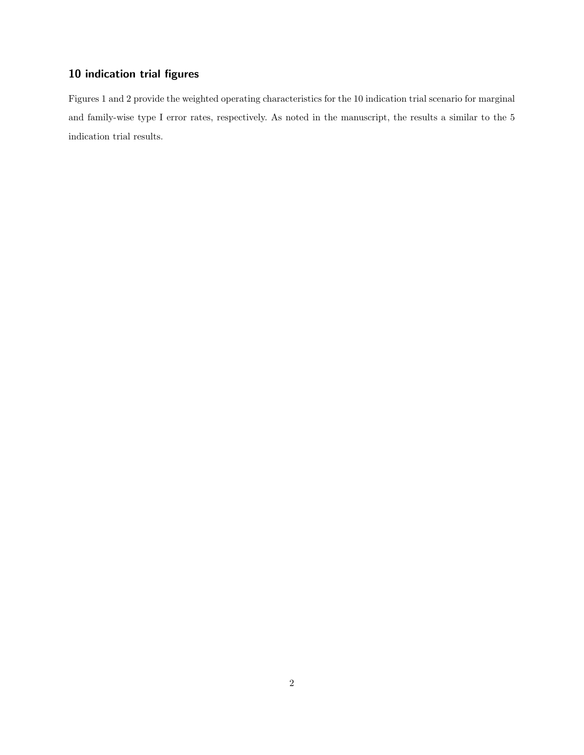## 10 indication trial figures

Figures 1 and 2 provide the weighted operating characteristics for the 10 indication trial scenario for marginal and family-wise type I error rates, respectively. As noted in the manuscript, the results a similar to the 5 indication trial results.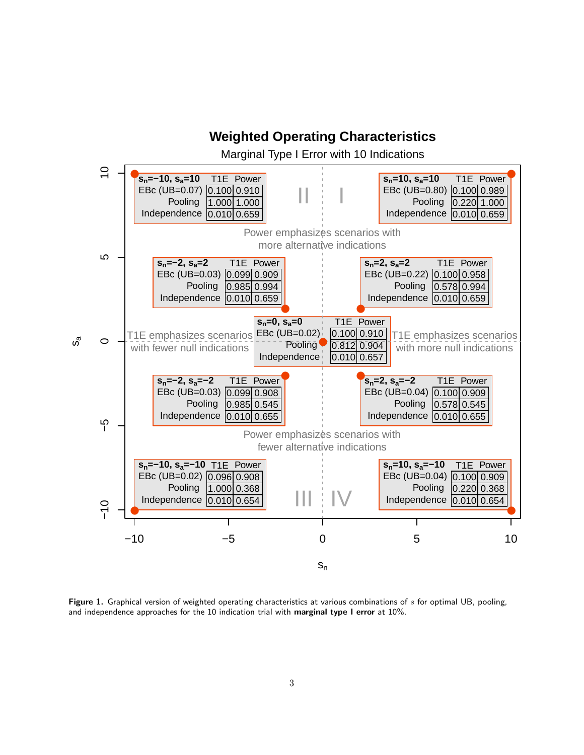

Figure 1. Graphical version of weighted operating characteristics at various combinations of  $s$  for optimal UB, pooling, and independence approaches for the 10 indication trial with marginal type I error at 10%.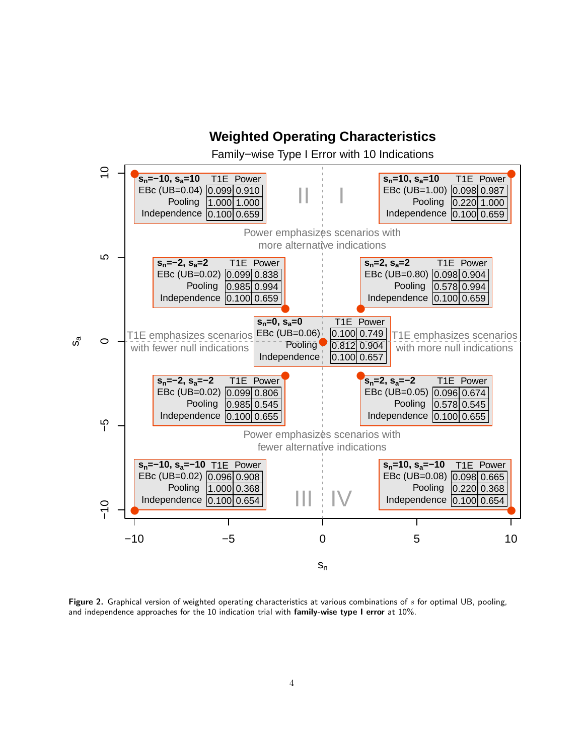

Figure 2. Graphical version of weighted operating characteristics at various combinations of  $s$  for optimal UB, pooling, and independence approaches for the 10 indication trial with family-wise type I error at 10%.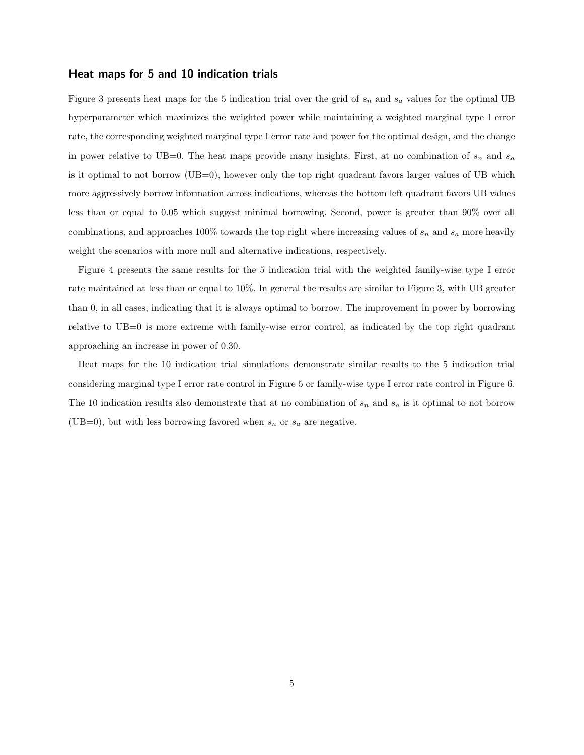#### Heat maps for 5 and 10 indication trials

Figure 3 presents heat maps for the 5 indication trial over the grid of  $s_n$  and  $s_a$  values for the optimal UB hyperparameter which maximizes the weighted power while maintaining a weighted marginal type I error rate, the corresponding weighted marginal type I error rate and power for the optimal design, and the change in power relative to UB=0. The heat maps provide many insights. First, at no combination of  $s_n$  and  $s_a$ is it optimal to not borrow (UB=0), however only the top right quadrant favors larger values of UB which more aggressively borrow information across indications, whereas the bottom left quadrant favors UB values less than or equal to 0.05 which suggest minimal borrowing. Second, power is greater than 90% over all combinations, and approaches 100% towards the top right where increasing values of  $s_n$  and  $s_a$  more heavily weight the scenarios with more null and alternative indications, respectively.

Figure 4 presents the same results for the 5 indication trial with the weighted family-wise type I error rate maintained at less than or equal to 10%. In general the results are similar to Figure 3, with UB greater than 0, in all cases, indicating that it is always optimal to borrow. The improvement in power by borrowing relative to UB=0 is more extreme with family-wise error control, as indicated by the top right quadrant approaching an increase in power of 0.30.

Heat maps for the 10 indication trial simulations demonstrate similar results to the 5 indication trial considering marginal type I error rate control in Figure 5 or family-wise type I error rate control in Figure 6. The 10 indication results also demonstrate that at no combination of  $s_n$  and  $s_a$  is it optimal to not borrow (UB=0), but with less borrowing favored when  $s_n$  or  $s_a$  are negative.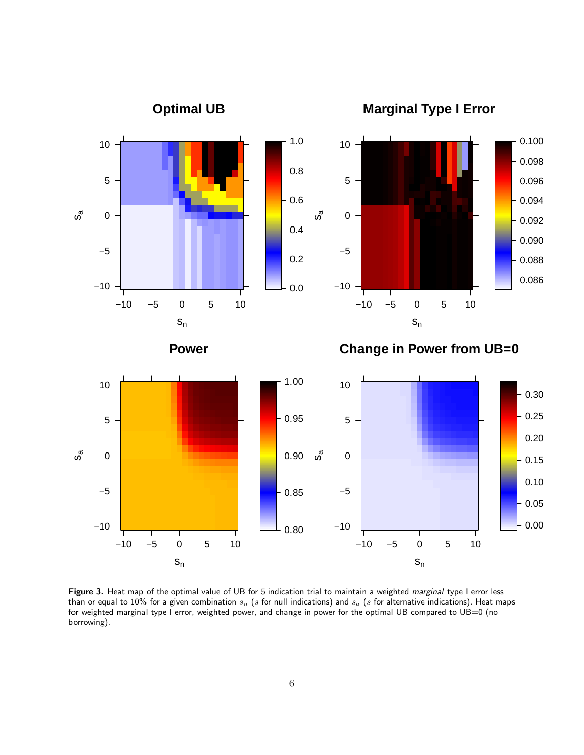

**Marginal Type I Error**





**Change in Power from UB=0**



Figure 3. Heat map of the optimal value of UB for 5 indication trial to maintain a weighted marginal type I error less than or equal to 10% for a given combination  $s_n$  (s for null indications) and  $s_a$  (s for alternative indications). Heat maps for weighted marginal type I error, weighted power, and change in power for the optimal UB compared to UB=0 (no borrowing).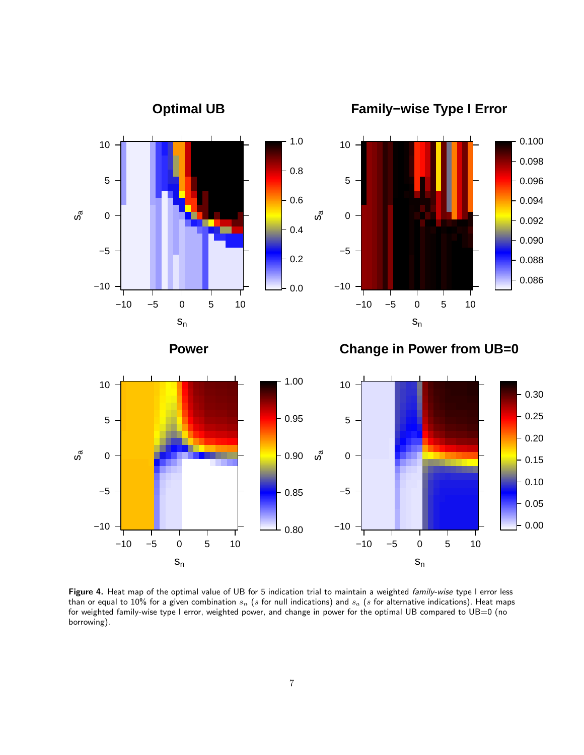

**Family−wise Type I Error**



**Power**

**Change in Power from UB=0**



Figure 4. Heat map of the optimal value of UB for 5 indication trial to maintain a weighted family-wise type I error less than or equal to 10% for a given combination  $s_n$  (s for null indications) and  $s_a$  (s for alternative indications). Heat maps for weighted family-wise type I error, weighted power, and change in power for the optimal UB compared to UB=0 (no borrowing).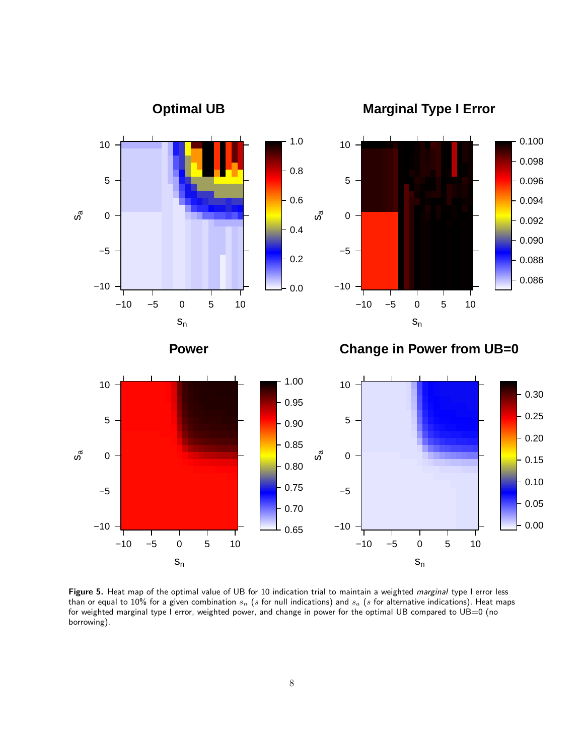

**Marginal Type I Error**



**Power**





Figure 5. Heat map of the optimal value of UB for 10 indication trial to maintain a weighted marginal type I error less than or equal to 10% for a given combination  $s_n$  (s for null indications) and  $s_a$  (s for alternative indications). Heat maps for weighted marginal type I error, weighted power, and change in power for the optimal UB compared to UB=0 (no borrowing).